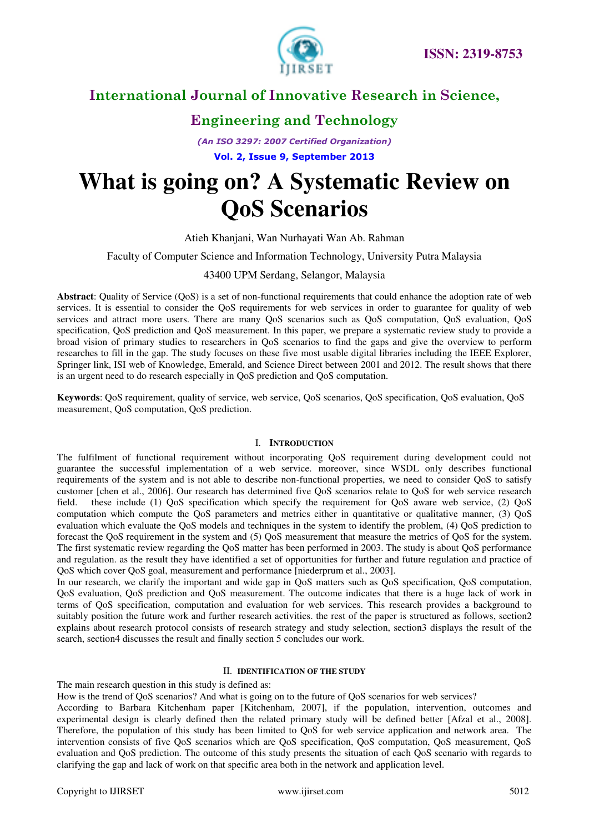

### **Engineering and Technology**

*(An ISO 3297: 2007 Certified Organization)*  **Vol. 2, Issue 9, September 2013**

# **What is going on? A Systematic Review on QoS Scenarios**

#### Atieh Khanjani, [Wan Nurhayati Wan Ab. Rahman](http://edas.info/showPerson.php?p=844329&c=12599)

#### Faculty of Computer Science and Information Technology, University Putra Malaysia

### 43400 UPM Serdang, Selangor, Malaysia

**Abstract**: Quality of Service (QoS) is a set of non-functional requirements that could enhance the adoption rate of web services. It is essential to consider the QoS requirements for web services in order to guarantee for quality of web services and attract more users. There are many QoS scenarios such as QoS computation, QoS evaluation, QoS specification, QoS prediction and QoS measurement. In this paper, we prepare a systematic review study to provide a broad vision of primary studies to researchers in QoS scenarios to find the gaps and give the overview to perform researches to fill in the gap. The study focuses on these five most usable digital libraries including the IEEE Explorer, Springer link, ISI web of Knowledge, Emerald, and Science Direct between 2001 and 2012. The result shows that there is an urgent need to do research especially in QoS prediction and QoS computation.

**Keywords**: QoS requirement, quality of service, web service, QoS scenarios, QoS specification, QoS evaluation, QoS measurement, QoS computation, QoS prediction.

#### I. **INTRODUCTION**

The fulfilment of functional requirement without incorporating QoS requirement during development could not guarantee the successful implementation of a web service. moreover, since WSDL only describes functional requirements of the system and is not able to describe non-functional properties, we need to consider QoS to satisfy customer [chen et al., 2006]. Our research has determined five QoS scenarios relate to QoS for web service research field. these include (1) QoS specification which specify the requirement for QoS aware web service, (2) QoS computation which compute the QoS parameters and metrics either in quantitative or qualitative manner, (3) QoS evaluation which evaluate the QoS models and techniques in the system to identify the problem, (4) QoS prediction to forecast the QoS requirement in the system and (5) QoS measurement that measure the metrics of QoS for the system. The first systematic review regarding the QoS matter has been performed in 2003. The study is about QoS performance and regulation. as the result they have identified a set of opportunities for further and future regulation and practice of QoS which cover QoS goal, measurement and performance [niederprum et al., 2003].

In our research, we clarify the important and wide gap in QoS matters such as QoS specification, QoS computation, QoS evaluation, QoS prediction and QoS measurement. The outcome indicates that there is a huge lack of work in terms of QoS specification, computation and evaluation for web services. This research provides a background to suitably position the future work and further research activities. the rest of the paper is structured as follows, section2 explains about research protocol consists of research strategy and study selection, section3 displays the result of the search, section4 discusses the result and finally section 5 concludes our work.

#### II. **IDENTIFICATION OF THE STUDY**

The main research question in this study is defined as:

How is the trend of QoS scenarios? And what is going on to the future of QoS scenarios for web services?

According to Barbara Kitchenham paper [Kitchenham, 2007], if the population, intervention, outcomes and experimental design is clearly defined then the related primary study will be defined better [Afzal et al., 2008]. Therefore, the population of this study has been limited to QoS for web service application and network area. The intervention consists of five QoS scenarios which are QoS specification, QoS computation, QoS measurement, QoS evaluation and QoS prediction. The outcome of this study presents the situation of each QoS scenario with regards to clarifying the gap and lack of work on that specific area both in the network and application level.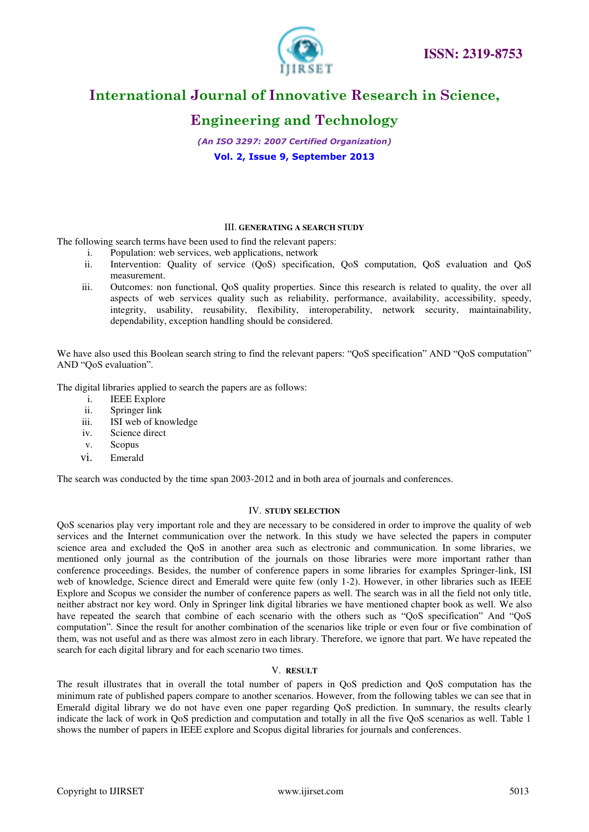

# **Engineering and Technology**

*(An ISO 3297: 2007 Certified Organization)*  **Vol. 2, Issue 9, September 2013**

#### III. **GENERATING A SEARCH STUDY**

The following search terms have been used to find the relevant papers:

- i. Population: web services, web applications, network
- ii. Intervention: Quality of service (QoS) specification, QoS computation, QoS evaluation and QoS measurement.
- iii. Outcomes: non functional, QoS quality properties. Since this research is related to quality, the over all aspects of web services quality such as reliability, performance, availability, accessibility, speedy, integrity, usability, reusability, flexibility, interoperability, network security, maintainability, dependability, exception handling should be considered.

We have also used this Boolean search string to find the relevant papers: "QoS specification" AND "QoS computation" AND "QoS evaluation".

The digital libraries applied to search the papers are as follows:

- i. IEEE Explore
- ii. Springer link
- iii. ISI web of knowledge
- iv. Science direct
- v. Scopus
- vi. Emerald

The search was conducted by the time span 2003-2012 and in both area of journals and conferences.

#### IV. **STUDY SELECTION**

QoS scenarios play very important role and they are necessary to be considered in order to improve the quality of web services and the Internet communication over the network. In this study we have selected the papers in computer science area and excluded the QoS in another area such as electronic and communication. In some libraries, we mentioned only journal as the contribution of the journals on those libraries were more important rather than conference proceedings. Besides, the number of conference papers in some libraries for examples Springer-link, ISI web of knowledge, Science direct and Emerald were quite few (only 1-2). However, in other libraries such as IEEE Explore and Scopus we consider the number of conference papers as well. The search was in all the field not only title, neither abstract nor key word. Only in Springer link digital libraries we have mentioned chapter book as well. We also have repeated the search that combine of each scenario with the others such as "QoS specification" And "QoS computation". Since the result for another combination of the scenarios like triple or even four or five combination of them, was not useful and as there was almost zero in each library. Therefore, we ignore that part. We have repeated the search for each digital library and for each scenario two times.

#### V. **RESULT**

The result illustrates that in overall the total number of papers in QoS prediction and QoS computation has the minimum rate of published papers compare to another scenarios. However, from the following tables we can see that in Emerald digital library we do not have even one paper regarding QoS prediction. In summary, the results clearly indicate the lack of work in QoS prediction and computation and totally in all the five QoS scenarios as well. Table 1 shows the number of papers in IEEE explore and Scopus digital libraries for journals and conferences.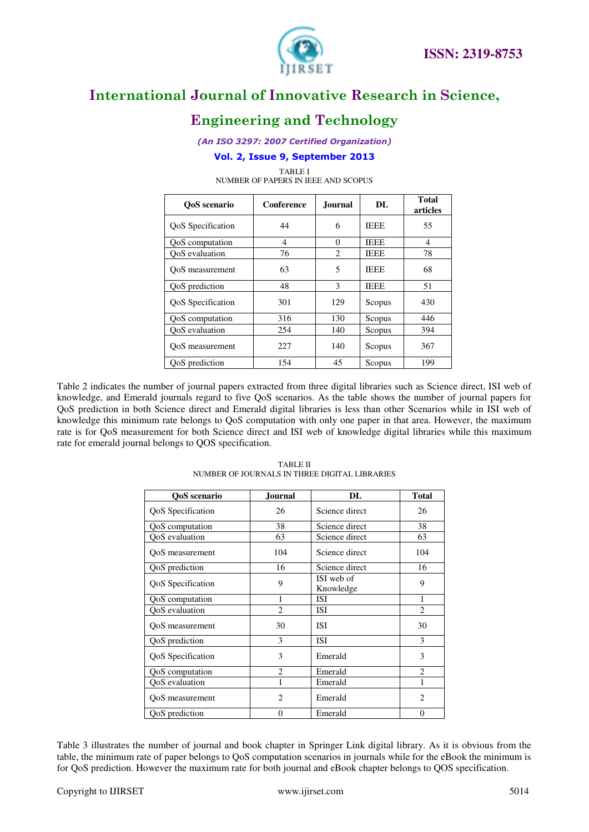

### **Engineering and Technology**

*(An ISO 3297: 2007 Certified Organization)* 

### **Vol. 2, Issue 9, September 2013**

TABLE I NUMBER OF PAPERS IN IEEE AND SCOPUS

| OoS scenario      | Conference | <b>Journal</b> | DL          | <b>Total</b><br>articles |
|-------------------|------------|----------------|-------------|--------------------------|
| QoS Specification | 44         | 6              | <b>IEEE</b> | 55                       |
| QoS computation   | 4          | $\Omega$       | <b>IEEE</b> | $\overline{4}$           |
| OoS evaluation    | 76         | $\overline{c}$ | <b>IEEE</b> | 78                       |
| OoS measurement   | 63         | 5              | <b>IEEE</b> | 68                       |
| QoS prediction    | 48         | 3              | <b>IEEE</b> | 51                       |
| QoS Specification | 301        | 129            | Scopus      | 430                      |
| QoS computation   | 316        | 130            | Scopus      | 446                      |
| OoS evaluation    | 254        | 140            | Scopus      | 394                      |
| OoS measurement   | 227        | 140            | Scopus      | 367                      |
| QoS prediction    | 154        | 45             | Scopus      | 199                      |

Table 2 indicates the number of journal papers extracted from three digital libraries such as Science direct, ISI web of knowledge, and Emerald journals regard to five QoS scenarios. As the table shows the number of journal papers for QoS prediction in both Science direct and Emerald digital libraries is less than other Scenarios while in ISI web of knowledge this minimum rate belongs to QoS computation with only one paper in that area. However, the maximum rate is for QoS measurement for both Science direct and ISI web of knowledge digital libraries while this maximum rate for emerald journal belongs to QOS specification.

| QoS scenario      | <b>Journal</b> | DL                      | <b>Total</b>   |  |
|-------------------|----------------|-------------------------|----------------|--|
| QoS Specification | 26             | Science direct          | 26             |  |
| QoS computation   | 38             | Science direct          | 38             |  |
| OoS evaluation    | 63             | Science direct          | 63             |  |
| QoS measurement   | 104            | Science direct          | 104            |  |
| QoS prediction    | 16             | Science direct          | 16             |  |
| QoS Specification | 9              | ISI web of<br>Knowledge | 9              |  |
| QoS computation   | 1              | <b>ISI</b>              | 1              |  |
| QoS evaluation    | $\overline{c}$ | ISI                     | $\overline{c}$ |  |
| QoS measurement   | 30             | <b>ISI</b>              | 30             |  |
| QoS prediction    | 3              | <b>ISI</b>              | 3              |  |
| QoS Specification | 3              | Emerald                 | 3              |  |
| QoS computation   | $\overline{2}$ | Emerald                 | $\mathfrak{D}$ |  |
| QoS evaluation    | 1              | Emerald                 |                |  |
| OoS measurement   | $\overline{c}$ | Emerald                 | $\overline{c}$ |  |
| QoS prediction    | $\Omega$       | Emerald                 | $\overline{0}$ |  |

TABLE II NUMBER OF JOURNALS IN THREE DIGITAL LIBRARIES

Table 3 illustrates the number of journal and book chapter in Springer Link digital library. As it is obvious from the table, the minimum rate of paper belongs to QoS computation scenarios in journals while for the eBook the minimum is for QoS prediction. However the maximum rate for both journal and eBook chapter belongs to QOS specification.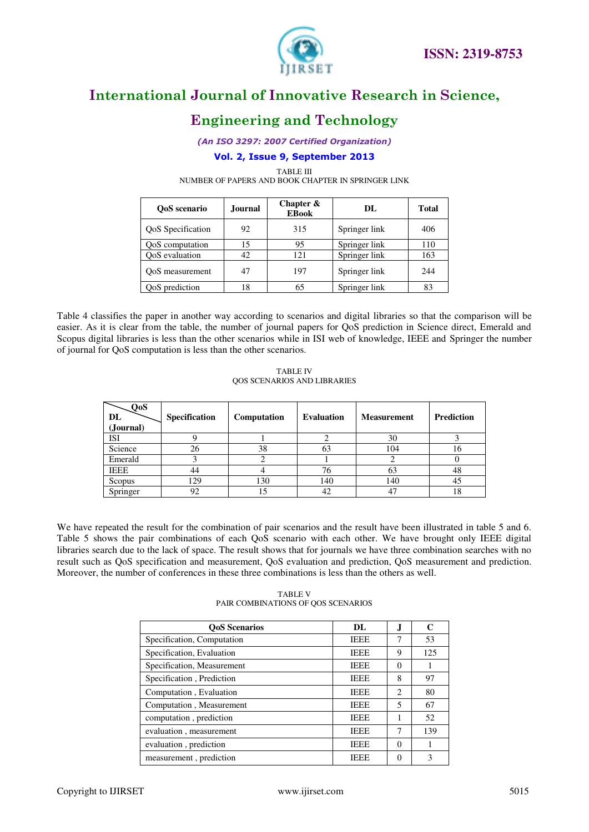

# **Engineering and Technology**

*(An ISO 3297: 2007 Certified Organization)* 

### **Vol. 2, Issue 9, September 2013**

TABLE III

NUMBER OF PAPERS AND BOOK CHAPTER IN SPRINGER LINK

| OoS scenario             | Journal | Chapter $\&$<br><b>EBook</b> | DL.           | <b>Total</b> |
|--------------------------|---------|------------------------------|---------------|--------------|
| <b>QoS</b> Specification | 92      | 315                          | Springer link | 406          |
| QoS computation          | 15      | 95                           | Springer link | 110          |
| OoS evaluation           | 42      | 121                          | Springer link | 163          |
| OoS measurement          | 47      | 197                          | Springer link | 244          |
| QoS prediction           | 18      | 65                           | Springer link | 83           |

Table 4 classifies the paper in another way according to scenarios and digital libraries so that the comparison will be easier. As it is clear from the table, the number of journal papers for QoS prediction in Science direct, Emerald and Scopus digital libraries is less than the other scenarios while in ISI web of knowledge, IEEE and Springer the number of journal for QoS computation is less than the other scenarios.

TABLE IV QOS SCENARIOS AND LIBRARIES

| QoS<br>DL<br>(Journal) | <b>Specification</b> | Computation | <b>Evaluation</b> | <b>Measurement</b> | <b>Prediction</b> |
|------------------------|----------------------|-------------|-------------------|--------------------|-------------------|
| ISI                    |                      |             |                   | 30                 |                   |
| Science                | 26                   | 38          | 63                | 104                | 16                |
| Emerald                |                      |             |                   |                    |                   |
| IEEE                   | 44                   |             | 76                | 63                 | 48                |
| Scopus                 | 129                  | 130         | 140               | 140                | 45                |
| Springer               | 92                   | 15          | 42                |                    | 18                |

We have repeated the result for the combination of pair scenarios and the result have been illustrated in table 5 and 6. Table 5 shows the pair combinations of each QoS scenario with each other. We have brought only IEEE digital libraries search due to the lack of space. The result shows that for journals we have three combination searches with no result such as QoS specification and measurement, QoS evaluation and prediction, QoS measurement and prediction. Moreover, the number of conferences in these three combinations is less than the others as well.

TABLE V PAIR COMBINATIONS OF QOS SCENARIOS

| <b>OoS</b> Scenarios       | DL.         |                             | C   |
|----------------------------|-------------|-----------------------------|-----|
| Specification, Computation | <b>IEEE</b> | 7                           | 53  |
| Specification, Evaluation  | <b>IEEE</b> | 9                           | 125 |
| Specification, Measurement | <b>IEEE</b> | $\Omega$                    |     |
| Specification, Prediction  | <b>IEEE</b> | 8                           | 97  |
| Computation, Evaluation    | <b>IEEE</b> | $\mathcal{D}_{\mathcal{L}}$ | 80  |
| Computation, Measurement   | <b>IEEE</b> | 5                           | 67  |
| computation, prediction    | <b>IEEE</b> |                             | 52  |
| evaluation, measurement    | <b>IEEE</b> | 7                           | 139 |
| evaluation, prediction     | <b>IEEE</b> | $\Omega$                    |     |
| measurement, prediction    | IEEE        |                             | 3   |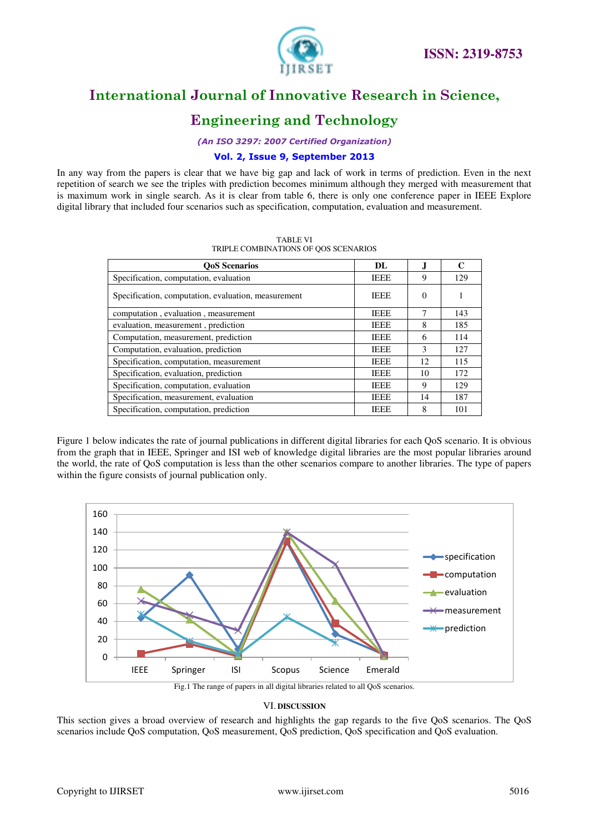

# **Engineering and Technology**

*(An ISO 3297: 2007 Certified Organization)* 

### **Vol. 2, Issue 9, September 2013**

In any way from the papers is clear that we have big gap and lack of work in terms of prediction. Even in the next repetition of search we see the triples with prediction becomes minimum although they merged with measurement that is maximum work in single search. As it is clear from table 6, there is only one conference paper in IEEE Explore digital library that included four scenarios such as specification, computation, evaluation and measurement.

| <b>QoS</b> Scenarios                                | DL.         |    | C   |
|-----------------------------------------------------|-------------|----|-----|
| Specification, computation, evaluation              | <b>IEEE</b> | 9  | 129 |
| Specification, computation, evaluation, measurement | <b>IEEE</b> | 0  |     |
| computation, evaluation, measurement                | <b>IEEE</b> | 7  | 143 |
| evaluation, measurement, prediction                 | <b>IEEE</b> | 8  | 185 |
| Computation, measurement, prediction                | <b>IEEE</b> | 6  | 114 |
| Computation, evaluation, prediction                 | <b>IEEE</b> | 3  | 127 |
| Specification, computation, measurement             | <b>IEEE</b> | 12 | 115 |
| Specification, evaluation, prediction               | <b>IEEE</b> | 10 | 172 |
| Specification, computation, evaluation              | <b>IEEE</b> | 9  | 129 |
| Specification, measurement, evaluation              | <b>IEEE</b> | 14 | 187 |
| Specification, computation, prediction              | <b>IEEE</b> | 8  | 101 |

TABLE VI TRIPLE COMBINATIONS OF QOS SCENARIOS

Figure 1 below indicates the rate of journal publications in different digital libraries for each QoS scenario. It is obvious from the graph that in IEEE, Springer and ISI web of knowledge digital libraries are the most popular libraries around the world, the rate of QoS computation is less than the other scenarios compare to another libraries. The type of papers within the figure consists of journal publication only.



#### VI. **DISCUSSION**

This section gives a broad overview of research and highlights the gap regards to the five QoS scenarios. The QoS scenarios include QoS computation, QoS measurement, QoS prediction, QoS specification and QoS evaluation.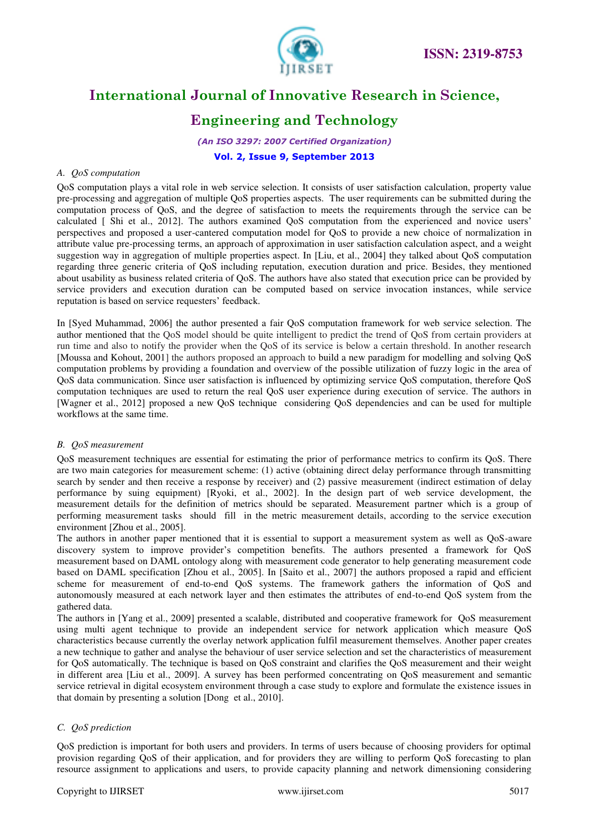

# **Engineering and Technology**

*(An ISO 3297: 2007 Certified Organization)*  **Vol. 2, Issue 9, September 2013**

### *A. QoS computation*

QoS computation plays a vital role in web service selection. It consists of user satisfaction calculation, property value pre-processing and aggregation of multiple QoS properties aspects. The user requirements can be submitted during the computation process of QoS, and the degree of satisfaction to meets the requirements through the service can be calculated [ Shi et al., 2012]. The authors examined QoS computation from the experienced and novice users' perspectives and proposed a user-cantered computation model for QoS to provide a new choice of normalization in attribute value pre-processing terms, an approach of approximation in user satisfaction calculation aspect, and a weight suggestion way in aggregation of multiple properties aspect. In [Liu, et al., 2004] they talked about QoS computation regarding three generic criteria of QoS including reputation, execution duration and price. Besides, they mentioned about usability as business related criteria of QoS. The authors have also stated that execution price can be provided by service providers and execution duration can be computed based on service invocation instances, while service reputation is based on service requesters' feedback.

In [Syed Muhammad, 2006] the author presented a fair QoS computation framework for web service selection. The author mentioned that the QoS model should be quite intelligent to predict the trend of QoS from certain providers at run time and also to notify the provider when the QoS of its service is below a certain threshold. In another research [Moussa and Kohout, 2001] the authors proposed an approach to build a new paradigm for modelling and solving QoS computation problems by providing a foundation and overview of the possible utilization of fuzzy logic in the area of QoS data communication. Since user satisfaction is influenced by optimizing service QoS computation, therefore QoS computation techniques are used to return the real QoS user experience during execution of service. The authors in [Wagner et al., 2012] proposed a new QoS technique considering QoS dependencies and can be used for multiple workflows at the same time.

#### *B. QoS measurement*

QoS measurement techniques are essential for estimating the prior of performance metrics to confirm its QoS. There are two main categories for measurement scheme: (1) active (obtaining direct delay performance through transmitting search by sender and then receive a response by receiver) and (2) passive measurement (indirect estimation of delay performance by suing equipment) [Ryoki, et al., 2002]. In the design part of web service development, the measurement details for the definition of metrics should be separated. Measurement partner which is a group of performing measurement tasks should fill in the metric measurement details, according to the service execution environment [Zhou et al., 2005].

The authors in another paper mentioned that it is essential to support a measurement system as well as QoS-aware discovery system to improve provider's competition benefits. The authors presented a framework for QoS measurement based on DAML ontology along with measurement code generator to help generating measurement code based on DAML specification [Zhou et al., 2005]. In [Saito et al., 2007] the authors proposed a rapid and efficient scheme for measurement of end-to-end QoS systems. The framework gathers the information of QoS and autonomously measured at each network layer and then estimates the attributes of end-to-end QoS system from the gathered data.

The authors in [Yang et al., 2009] presented a scalable, distributed and cooperative framework for QoS measurement using multi agent technique to provide an independent service for network application which measure QoS characteristics because currently the overlay network application fulfil measurement themselves. Another paper creates a new technique to gather and analyse the behaviour of user service selection and set the characteristics of measurement for QoS automatically. The technique is based on QoS constraint and clarifies the QoS measurement and their weight in different area [Liu et al., 2009]. A survey has been performed concentrating on QoS measurement and semantic service retrieval in digital ecosystem environment through a case study to explore and formulate the existence issues in that domain by presenting a solution [Dong et al., 2010].

#### *C. QoS prediction*

QoS prediction is important for both users and providers. In terms of users because of choosing providers for optimal provision regarding QoS of their application, and for providers they are willing to perform QoS forecasting to plan resource assignment to applications and users, to provide capacity planning and network dimensioning considering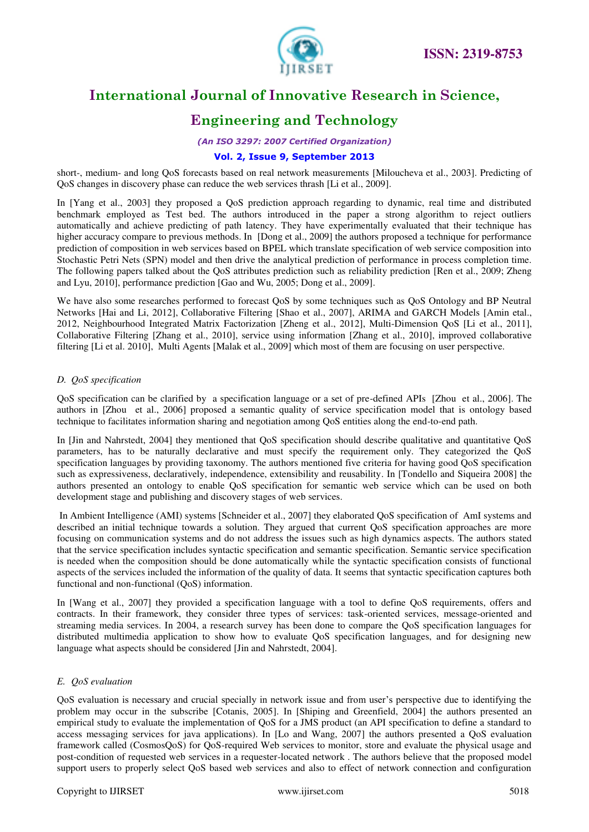



# **Engineering and Technology**

*(An ISO 3297: 2007 Certified Organization)* 

#### **Vol. 2, Issue 9, September 2013**

short-, medium- and long QoS forecasts based on real network measurements [Miloucheva et al., 2003]. Predicting of QoS changes in discovery phase can reduce the web services thrash [Li et al., 2009].

In [Yang et al., 2003] they proposed a QoS prediction approach regarding to dynamic, real time and distributed benchmark employed as Test bed. The authors introduced in the paper a strong algorithm to reject outliers automatically and achieve predicting of path latency. They have experimentally evaluated that their technique has higher accuracy compare to previous methods. In [Dong et al., 2009] the authors proposed a technique for performance prediction of composition in web services based on BPEL which translate specification of web service composition into Stochastic Petri Nets (SPN) model and then drive the analytical prediction of performance in process completion time. The following papers talked about the QoS attributes prediction such as reliability prediction [Ren et al., 2009; Zheng and Lyu, 2010], performance prediction [Gao and Wu, 2005; Dong et al., 2009].

We have also some researches performed to forecast QoS by some techniques such as QoS Ontology and BP Neutral Networks [Hai and Li, 2012], Collaborative Filtering [Shao et al., 2007], ARIMA and GARCH Models [Amin etal., 2012, Neighbourhood Integrated Matrix Factorization [Zheng et al., 2012], Multi-Dimension QoS [Li et al., 2011], Collaborative Filtering [Zhang et al., 2010], service using information [Zhang et al., 2010], improved collaborative filtering [Li et al. 2010], Multi Agents [Malak et al., 2009] which most of them are focusing on user perspective.

#### *D. QoS specification*

QoS specification can be clarified by a specification language or a set of pre-defined APIs [Zhou et al., 2006]. The authors in [Zhou et al., 2006] proposed a semantic quality of service specification model that is ontology based technique to facilitates information sharing and negotiation among QoS entities along the end-to-end path.

In [Jin and Nahrstedt, 2004] they mentioned that QoS specification should describe qualitative and quantitative QoS parameters, has to be naturally declarative and must specify the requirement only. They categorized the QoS specification languages by providing taxonomy. The authors mentioned five criteria for having good QoS specification such as expressiveness, declaratively, independence, extensibility and reusability. In [Tondello and Siqueira 2008] the authors presented an ontology to enable QoS specification for semantic web service which can be used on both development stage and publishing and discovery stages of web services.

 In Ambient Intelligence (AMI) systems [Schneider et al., 2007] they elaborated QoS specification of AmI systems and described an initial technique towards a solution. They argued that current QoS specification approaches are more focusing on communication systems and do not address the issues such as high dynamics aspects. The authors stated that the service specification includes syntactic specification and semantic specification. Semantic service specification is needed when the composition should be done automatically while the syntactic specification consists of functional aspects of the services included the information of the quality of data. It seems that syntactic specification captures both functional and non-functional (QoS) information.

In [Wang et al., 2007] they provided a specification language with a tool to define OoS requirements, offers and contracts. In their framework, they consider three types of services: task-oriented services, message-oriented and streaming media services. In 2004, a research survey has been done to compare the QoS specification languages for distributed multimedia application to show how to evaluate QoS specification languages, and for designing new language what aspects should be considered [Jin and Nahrstedt, 2004].

#### *E. QoS evaluation*

QoS evaluation is necessary and crucial specially in network issue and from user's perspective due to identifying the problem may occur in the subscribe [Cotanis, 2005]. In [Shiping and Greenfield, 2004] the authors presented an empirical study to evaluate the implementation of QoS for a JMS product (an API specification to define a standard to access messaging services for java applications). In [Lo and Wang, 2007] the authors presented a QoS evaluation framework called (CosmosQoS) for QoS-required Web services to monitor, store and evaluate the physical usage and post-condition of requested web services in a requester-located network . The authors believe that the proposed model support users to properly select QoS based web services and also to effect of network connection and configuration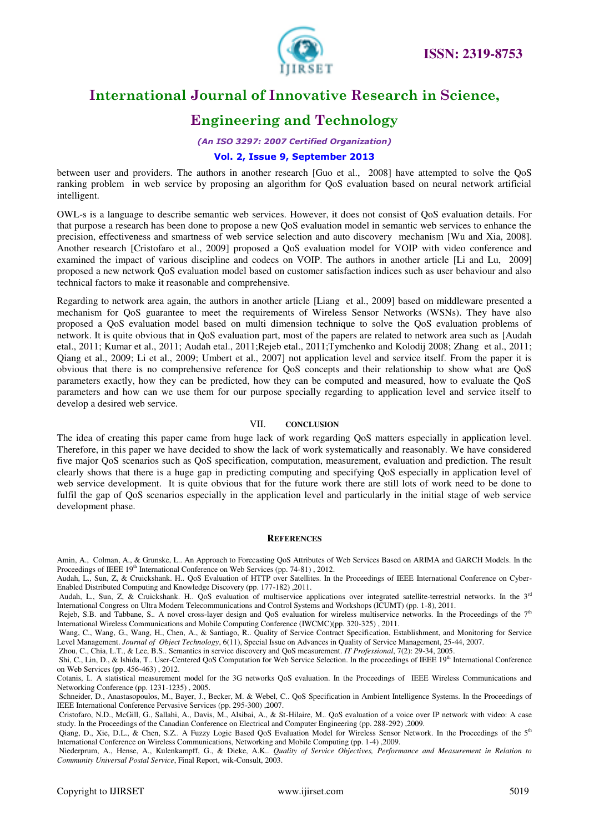

# **Engineering and Technology**

*(An ISO 3297: 2007 Certified Organization)* 

#### **Vol. 2, Issue 9, September 2013**

between user and providers. The authors in another research [Guo et al., 2008] have attempted to solve the QoS ranking problem in web service by proposing an algorithm for QoS evaluation based on neural network artificial intelligent.

OWL-s is a language to describe semantic web services. However, it does not consist of QoS evaluation details. For that purpose a research has been done to propose a new QoS evaluation model in semantic web services to enhance the precision, effectiveness and smartness of web service selection and auto discovery mechanism [Wu and Xia, 2008]. Another research [Cristofaro et al., 2009] proposed a QoS evaluation model for VOIP with video conference and examined the impact of various discipline and codecs on VOIP. The authors in another article [Li and Lu, 2009] proposed a new network QoS evaluation model based on customer satisfaction indices such as user behaviour and also technical factors to make it reasonable and comprehensive.

Regarding to network area again, the authors in another article [Liang et al., 2009] based on middleware presented a mechanism for QoS guarantee to meet the requirements of Wireless Sensor Networks (WSNs). They have also proposed a QoS evaluation model based on multi dimension technique to solve the QoS evaluation problems of network. It is quite obvious that in QoS evaluation part, most of the papers are related to network area such as [Audah etal., 2011; Kumar et al., 2011; Audah etal., 2011;Rejeb etal., 2011;Tymchenko and Kolodij 2008; Zhang et al., 2011; Qiang et al., 2009; Li et al., 2009; Umbert et al., 2007] not application level and service itself. From the paper it is obvious that there is no comprehensive reference for QoS concepts and their relationship to show what are QoS parameters exactly, how they can be predicted, how they can be computed and measured, how to evaluate the QoS parameters and how can we use them for our purpose specially regarding to application level and service itself to develop a desired web service.

#### VII. **CONCLUSION**

The idea of creating this paper came from huge lack of work regarding QoS matters especially in application level. Therefore, in this paper we have decided to show the lack of work systematically and reasonably. We have considered five major QoS scenarios such as QoS specification, computation, measurement, evaluation and prediction. The result clearly shows that there is a huge gap in predicting computing and specifying QoS especially in application level of web service development. It is quite obvious that for the future work there are still lots of work need to be done to fulfil the gap of QoS scenarios especially in the application level and particularly in the initial stage of web service development phase.

#### **REFERENCES**

Amin, A., Colman, A., & Grunske, L.. An Approach to Forecasting QoS Attributes of Web Services Based on ARIMA and GARCH Models. In the Proceedings of IEEE 19<sup>th</sup> International Conference on Web Services (pp. 74-81), 2012.

Audah, L., Sun, Z, & Cruickshank. H.. QoS Evaluation of HTTP over Satellites. In the Proceedings of IEEE International Conference on Cyber-Enabled Distributed Computing and Knowledge Discovery (pp. 177-182) ,2011.

Audah, L., Sun, Z. & Cruickshank. H.. QoS evaluation of multiservice applications over integrated satellite-terrestrial networks. In the 3rd International Congress on Ultra Modern Telecommunications and Control Systems and Workshops (ICUMT) (pp. 1-8), 2011.

Rejeb, S.B. and Tabbane, S.. A novel cross-layer design and QoS evaluation for wireless multiservice networks. In the Proceedings of the  $7<sup>th</sup>$ International Wireless Communications and Mobile Computing Conference (IWCMC)(pp. 320-325) , 2011.

 Wang, C., Wang, G., Wang, H., Chen, A., & Santiago, R.. Quality of Service Contract Specification, Establishment, and Monitoring for Service Level Management. *Journal of Object Technology*, 6(11), Special Issue on Advances in Quality of Service Management, 25-44, 2007.

Zhou, C., Chia, L.T., & Lee, B.S.. Semantics in service discovery and QoS measurement. *IT Professional*, 7(2): 29-34, 2005.

Shi, C., Lin, D., & Ishida, T.. User-Centered QoS Computation for Web Service Selection. In the proceedings of IEEE 19<sup>th</sup> International Conference on Web Services (pp. 456-463) , 2012.

Cotanis, I.. A statistical measurement model for the 3G networks QoS evaluation. In the Proceedings of IEEE Wireless Communications and Networking Conference (pp. 1231-1235) , 2005.

 Schneider, D., Anastasopoulos, M., Bayer, J., Becker, M. & Webel, C.. QoS Specification in Ambient Intelligence Systems. In the Proceedings of IEEE International Conference Pervasive Services (pp. 295-300) ,2007.

 Niederprum, A., Hense, A., Kulenkampff, G., & Dieke, A.K.. *Quality of Service Objectives, Performance and Measurement in Relation to Community Universal Postal Service*, Final Report, wik-Consult, 2003.

Cristofaro, N.D., McGill, G., Sallahi, A., Davis, M., Alsibai, A., & St-Hilaire, M.. QoS evaluation of a voice over IP network with video: A case study. In the Proceedings of the Canadian Conference on Electrical and Computer Engineering (pp. 288-292) ,2009.

Qiang, D., Xie, D.L., & Chen, S.Z.. A Fuzzy Logic Based QoS Evaluation Model for Wireless Sensor Network. In the Proceedings of the 5<sup>th</sup> International Conference on Wireless Communications, Networking and Mobile Computing (pp. 1-4) ,2009.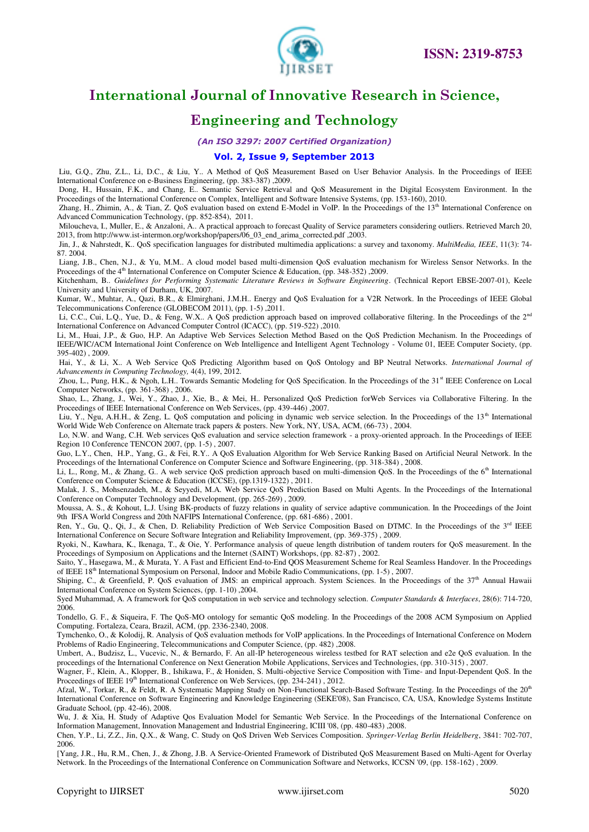

# **Engineering and Technology**

*(An ISO 3297: 2007 Certified Organization)* 

#### **Vol. 2, Issue 9, September 2013**

 Liu, G.Q., Zhu, Z.L., Li, D.C., & Liu, Y.. A Method of QoS Measurement Based on User Behavior Analysis. In the Proceedings of IEEE International Conference on e-Business Engineering, (pp. 383-387) ,2009.

 Dong, H., Hussain, F.K., and Chang, E.. Semantic Service Retrieval and QoS Measurement in the Digital Ecosystem Environment. In the Proceedings of the International Conference on Complex, Intelligent and Software Intensive Systems, (pp. 153-160), 2010.

Zhang, H., Zhimin, A., & Tian, Z. QoS evaluation based on extend E-Model in VoIP. In the Proceedings of the 13<sup>th</sup> International Conference on Advanced Communication Technology, (pp. 852-854), 2011.

 Miloucheva, I., Muller, E., & Anzaloni, A.. A practical approach to forecast Quality of Service parameters considering outliers. Retrieved March 20, 2013, from http://www.ist-intermon.org/workshop/papers/06\_03\_end\_arima\_corrected.pdf ,2003.

 Jin, J., & Nahrstedt, K.. QoS specification languages for distributed multimedia applications: a survey and taxonomy. *MultiMedia, IEEE*, 11(3): 74- 87. 2004.

 Liang, J.B., Chen, N.J., & Yu, M.M.. A cloud model based multi-dimension QoS evaluation mechanism for Wireless Sensor Networks. In the Proceedings of the 4<sup>th</sup> International Conference on Computer Science & Education, (pp. 348-352) ,2009.

Kitchenham, B.. *Guidelines for Performing Systematic Literature Reviews in Software Engineering*. (Technical Report EBSE-2007-01), Keele University and University of Durham, UK, 2007.

Kumar, W., Muhtar, A., Qazi, B.R., & Elmirghani, J.M.H.. Energy and QoS Evaluation for a V2R Network. In the Proceedings of IEEE Global Telecommunications Conference (GLOBECOM 2011), (pp. 1-5) ,2011.

Li, C.C., Cui, L.Q., Yue, D., & Feng, W.X.. A QoS prediction approach based on improved collaborative filtering. In the Proceedings of the 2<sup>nd</sup> International Conference on Advanced Computer Control (ICACC), (pp. 519-522) ,2010.

Li, M., Huai, J.P., & Guo, H.P. An Adaptive Web Services Selection Method Based on the QoS Prediction Mechanism. In the Proceedings of IEEE/WIC/ACM International Joint Conference on Web Intelligence and Intelligent Agent Technology - Volume 01, IEEE Computer Society, (pp. 395-402) , 2009.

 Hai, Y., & Li, X.. A Web Service QoS Predicting Algorithm based on QoS Ontology and BP Neutral Networks. *International Journal of Advancements in Computing Technology,* 4(4), 199, 2012.

Zhou, L., Pung, H.K., & Ngoh, L.H.. Towards Semantic Modeling for QoS Specification. In the Proceedings of the 31<sup>st</sup> IEEE Conference on Local Computer Networks, (pp. 361-368) , 2006.

 Shao, L., Zhang, J., Wei, Y., Zhao, J., Xie, B., & Mei, H.. Personalized QoS Prediction forWeb Services via Collaborative Filtering. In the Proceedings of IEEE International Conference on Web Services, (pp. 439-446) ,2007.

Liu, Y., Ngu, A.H.H., & Zeng, L. QoS computation and policing in dynamic web service selection. In the Proceedings of the 13<sup>th</sup> International World Wide Web Conference on Alternate track papers & posters. New York, NY, USA, ACM, (66-73) , 2004.

 Lo, N.W. and Wang, C.H. Web services QoS evaluation and service selection framework - a proxy-oriented approach. In the Proceedings of IEEE Region 10 Conference TENCON 2007, (pp. 1-5) , 2007.

Guo, L.Y., Chen, H.P., Yang, G., & Fei, R.Y.. A QoS Evaluation Algorithm for Web Service Ranking Based on Artificial Neural Network. In the Proceedings of the International Conference on Computer Science and Software Engineering, (pp. 318-384) , 2008.

Li, L., Rong, M., & Zhang, G.. A web service OoS prediction approach based on multi-dimension OoS. In the Proceedings of the 6<sup>th</sup> International Conference on Computer Science & Education (ICCSE), (pp.1319-1322) , 2011.

Malak, J. S., Mohsenzadeh, M., & Seyyedi, M.A. Web Service QoS Prediction Based on Multi Agents. In the Proceedings of the International Conference on Computer Technology and Development, (pp. 265-269) , 2009.

Moussa, A. S., & Kohout, L.J. Using BK-products of fuzzy relations in quality of service adaptive communication. In the Proceedings of the Joint 9th IFSA World Congress and 20th NAFIPS International Conference, (pp. 681-686) , 2001.

Ren, Y., Gu, Q., Qi, J., & Chen, D. Reliability Prediction of Web Service Composition Based on DTMC. In the Proceedings of the 3<sup>rd</sup> IEEE International Conference on Secure Software Integration and Reliability Improvement, (pp. 369-375) , 2009.

Ryoki, N., Kawhara, K., Ikenaga, T., & Oie, Y. Performance analysis of queue length distribution of tandem routers for QoS measurement. In the Proceedings of Symposium on Applications and the Internet (SAINT) Workshops, (pp. 82-87), 2002.

Saito, Y., Hasegawa, M., & Murata, Y. A Fast and Efficient End-to-End QOS Measurement Scheme for Real Seamless Handover. In the Proceedings of IEEE 18<sup>th</sup> International Symposium on Personal, Indoor and Mobile Radio Communications, (pp. 1-5), 2007.

Shiping, C., & Greenfield, P. QoS evaluation of JMS: an empirical approach. System Sciences. In the Proceedings of the  $37<sup>th</sup>$  Annual Hawaii International Conference on System Sciences, (pp. 1-10) ,2004.

Syed Muhammad, A. A framework for QoS computation in web service and technology selection. *Computer Standards & Interfaces*, 28(6): 714-720, 2006.

Tondello, G. F., & Siqueira, F. The QoS-MO ontology for semantic QoS modeling. In the Proceedings of the 2008 ACM Symposium on Applied Computing. Fortaleza, Ceara, Brazil, ACM, (pp. 2336-2340, 2008.

Tymchenko, O., & Kolodij, R. Analysis of QoS evaluation methods for VoIP applications. In the Proceedings of International Conference on Modern Problems of Radio Engineering, Telecommunications and Computer Science, (pp. 482) ,2008.

Umbert, A., Budzisz, L., Vucevic, N., & Bernardo, F. An all-IP heterogeneous wireless testbed for RAT selection and e2e QoS evaluation. In the proceedings of the International Conference on Next Generation Mobile Applications, Services and Technologies, (pp. 310-315) , 2007.

Wagner, F., Klein, A., Klopper, B., Ishikawa, F., & Honiden, S. Multi-objective Service Composition with Time- and Input-Dependent QoS. In the Proceedings of IEEE 19<sup>th</sup> International Conference on Web Services, (pp. 234-241), 2012.

Afzal, W., Torkar, R., & Feldt, R. A Systematic Mapping Study on Non-Functional Search-Based Software Testing. In the Proceedings of the 20th International Conference on Software Engineering and Knowledge Engineering (SEKE'08), San Francisco, CA, USA, Knowledge Systems Institute Graduate School, (pp. 42-46), 2008.

Wu, J. & Xia, H. Study of Adaptive Qos Evaluation Model for Semantic Web Service. In the Proceedings of the International Conference on Information Management, Innovation Management and Industrial Engineering, ICIII '08, (pp. 480-483) ,2008.

Chen, Y.P., Li, Z.Z., Jin, Q.X., & Wang, C. Study on QoS Driven Web Services Composition. *Springer-Verlag Berlin Heidelberg*, 3841: 702-707, 2006.

[Yang, J.R., Hu, R.M., Chen, J., & Zhong, J.B. A Service-Oriented Framework of Distributed QoS Measurement Based on Multi-Agent for Overlay Network. In the Proceedings of the International Conference on Communication Software and Networks, ICCSN '09, (pp. 158-162) , 2009.